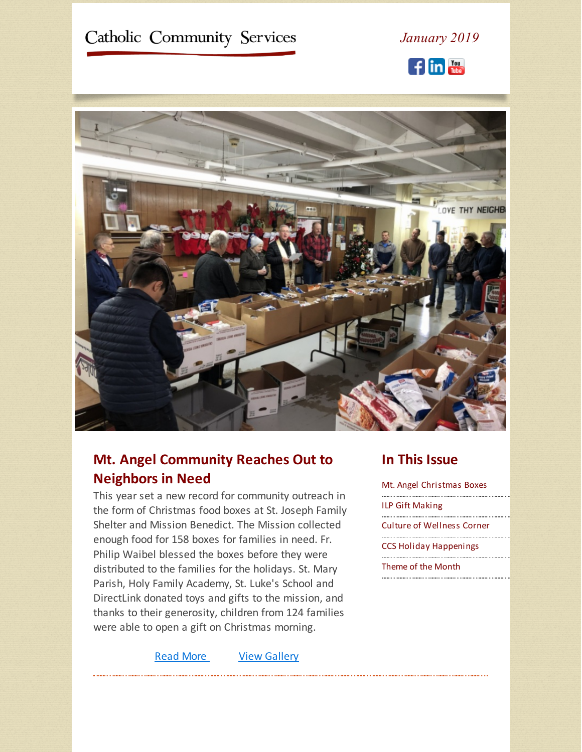<span id="page-0-0"></span>

# **Mt. Angel Community Reaches Out to Neighbors in Need**

This year set a new record for community outreach in the form of Christmas food boxes at St. Joseph Family Shelter and Mission Benedict. The Mission collected enough food for 158 boxes for families in need. Fr. Philip Waibel blessed the boxes before they were distributed to the families for the holidays. St. Mary Parish, Holy Family Academy, St. Luke's School and DirectLink donated toys and gifts to the mission, and thanks to their generosity, children from 124 families were able to open a gift on Christmas morning.

Read [More](https://www.ccswv.org/mt-angel-reaches-out-to-neighbors-in-need/) View [Gallery](https://ccs.shootproof.com/gallery/8452448/)

### **In This Issue**

Mt. Angel [Christmas](#page-0-0) Boxes ILP Gift [Making](#page-0-0) Culture of [Wellness](#page-0-0) Corner CCS Holiday [Happenings](#page-0-0) [Theme](#page-0-0) of the Month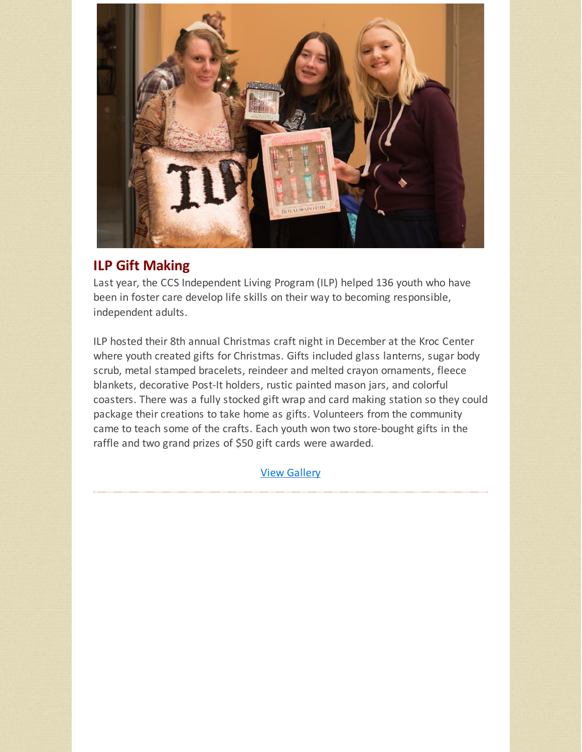

## **ILP Gift Making**

Last year, the CCS Independent Living Program (ILP) helped 136 youth who have been in foster care develop life skills on their way to becoming responsible, independent adults.

ILP hosted their 8th annual Christmas craft night in December at the Kroc Center where youth created gifts for Christmas. Gifts included glass lanterns, sugar body scrub, metal stamped bracelets, reindeer and melted crayon ornaments, fleece blankets, decorative Post-It holders, rustic painted mason jars, and colorful coasters. There was a fully stocked gift wrap and card making station so they could package their creations to take home as gifts. Volunteers from the community came to teach some of the crafts. Each youth won two store-bought gifts in the raffle and two grand prizes of \$50 gift cards were awarded.

View [Gallery](https://ccs.shootproof.com/gallery/8523878/)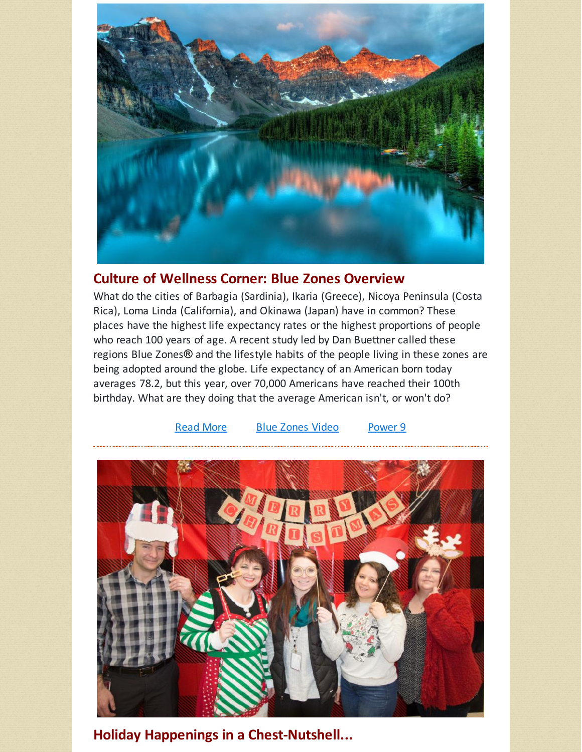

## **Culture of Wellness Corner: Blue Zones Overview**

What do the cities of Barbagia (Sardinia), Ikaria (Greece), Nicoya Peninsula (Costa Rica), Loma Linda (California), and Okinawa (Japan) have in common? These places have the highest life expectancy rates or the highest proportions of people who reach 100 years of age. A recent study led by Dan Buettner called these regions Blue Zones**®** and the lifestyle habits of the people living in these zones are being adopted around the globe. Life expectancy of an American born today averages 78.2, but this year, over 70,000 Americans have reached their 100th birthday. What are they doing that the average American isn't, or won't do?



**Holiday Happenings in a Chest-Nutshell...**